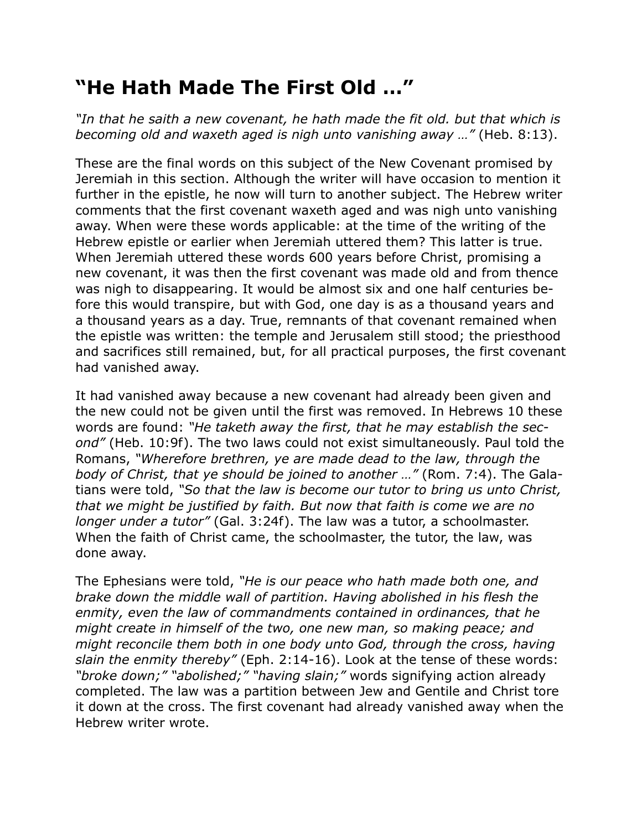## **"He Hath Made The First Old …"**

*"In that he saith a new covenant, he hath made the fit old. but that which is becoming old and waxeth aged is nigh unto vanishing away …"* (Heb. 8:13).

These are the final words on this subject of the New Covenant promised by Jeremiah in this section. Although the writer will have occasion to mention it further in the epistle, he now will turn to another subject. The Hebrew writer comments that the first covenant waxeth aged and was nigh unto vanishing away. When were these words applicable: at the time of the writing of the Hebrew epistle or earlier when Jeremiah uttered them? This latter is true. When Jeremiah uttered these words 600 years before Christ, promising a new covenant, it was then the first covenant was made old and from thence was nigh to disappearing. It would be almost six and one half centuries before this would transpire, but with God, one day is as a thousand years and a thousand years as a day. True, remnants of that covenant remained when the epistle was written: the temple and Jerusalem still stood; the priesthood and sacrifices still remained, but, for all practical purposes, the first covenant had vanished away.

It had vanished away because a new covenant had already been given and the new could not be given until the first was removed. In Hebrews 10 these words are found: *"He taketh away the first, that he may establish the second"* (Heb. 10:9f). The two laws could not exist simultaneously. Paul told the Romans, *"Wherefore brethren, ye are made dead to the law, through the body of Christ, that ye should be joined to another …"* (Rom. 7:4). The Galatians were told, *"So that the law is become our tutor to bring us unto Christ, that we might be justified by faith. But now that faith is come we are no longer under a tutor"* (Gal. 3:24f). The law was a tutor, a schoolmaster. When the faith of Christ came, the schoolmaster, the tutor, the law, was done away.

The Ephesians were told, *"He is our peace who hath made both one, and brake down the middle wall of partition. Having abolished in his flesh the enmity, even the law of commandments contained in ordinances, that he might create in himself of the two, one new man, so making peace; and might reconcile them both in one body unto God, through the cross, having slain the enmity thereby"* (Eph. 2:14-16). Look at the tense of these words: *"broke down;" "abolished;" "having slain;"* words signifying action already completed. The law was a partition between Jew and Gentile and Christ tore it down at the cross. The first covenant had already vanished away when the Hebrew writer wrote.